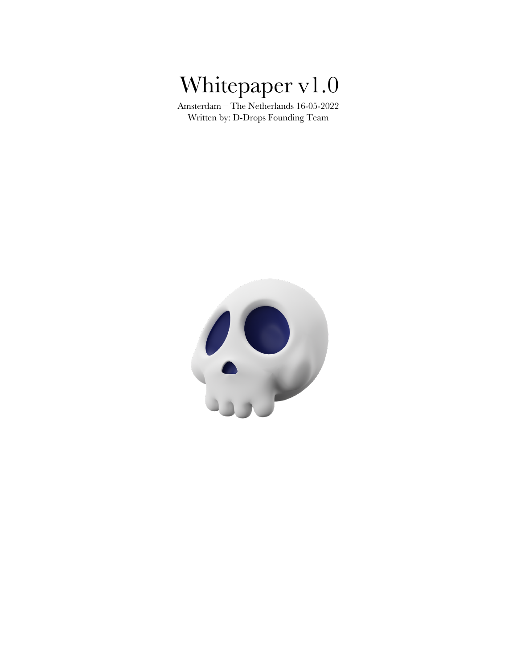# Whitepaper v1.0

Amsterdam – The Netherlands 16-05-2022 Written by: D-Drops Founding Team

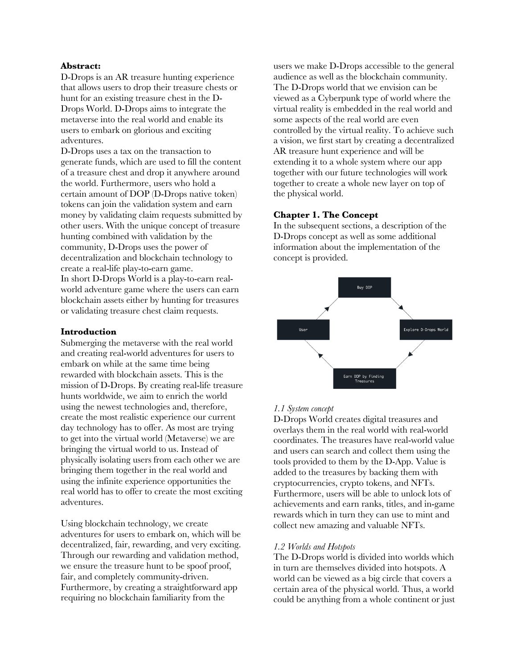## **Abstract:**

D-Drops is an AR treasure hunting experience that allows users to drop their treasure chests or hunt for an existing treasure chest in the D-Drops World. D-Drops aims to integrate the metaverse into the real world and enable its users to embark on glorious and exciting adventures.

D-Drops uses a tax on the transaction to generate funds, which are used to fill the content of a treasure chest and drop it anywhere around the world. Furthermore, users who hold a certain amount of DOP (D-Drops native token) tokens can join the validation system and earn money by validating claim requests submitted by other users. With the unique concept of treasure hunting combined with validation by the community, D-Drops uses the power of decentralization and blockchain technology to create a real-life play-to-earn game. In short D-Drops World is a play-to-earn realworld adventure game where the users can earn blockchain assets either by hunting for treasures or validating treasure chest claim requests.

#### **Introduction**

Submerging the metaverse with the real world and creating real-world adventures for users to embark on while at the same time being rewarded with blockchain assets. This is the mission of D-Drops. By creating real-life treasure hunts worldwide, we aim to enrich the world using the newest technologies and, therefore, create the most realistic experience our current day technology has to offer. As most are trying to get into the virtual world (Metaverse) we are bringing the virtual world to us. Instead of physically isolating users from each other we are bringing them together in the real world and using the infinite experience opportunities the real world has to offer to create the most exciting adventures.

Using blockchain technology, we create adventures for users to embark on, which will be decentralized, fair, rewarding, and very exciting. Through our rewarding and validation method, we ensure the treasure hunt to be spoof proof, fair, and completely community-driven. Furthermore, by creating a straightforward app requiring no blockchain familiarity from the

users we make D-Drops accessible to the general audience as well as the blockchain community. The D-Drops world that we envision can be viewed as a Cyberpunk type of world where the virtual reality is embedded in the real world and some aspects of the real world are even controlled by the virtual reality. To achieve such a vision, we first start by creating a decentralized AR treasure hunt experience and will be extending it to a whole system where our app together with our future technologies will work together to create a whole new layer on top of the physical world.

#### **Chapter 1. The Concept**

In the subsequent sections, a description of the D-Drops concept as well as some additional information about the implementation of the concept is provided.



## *1.1 System concept*

D-Drops World creates digital treasures and overlays them in the real world with real-world coordinates. The treasures have real-world value and users can search and collect them using the tools provided to them by the D-App. Value is added to the treasures by backing them with cryptocurrencies, crypto tokens, and NFTs. Furthermore, users will be able to unlock lots of achievements and earn ranks, titles, and in-game rewards which in turn they can use to mint and collect new amazing and valuable NFTs.

#### *1.2 Worlds and Hotspots*

The D-Drops world is divided into worlds which in turn are themselves divided into hotspots. A world can be viewed as a big circle that covers a certain area of the physical world. Thus, a world could be anything from a whole continent or just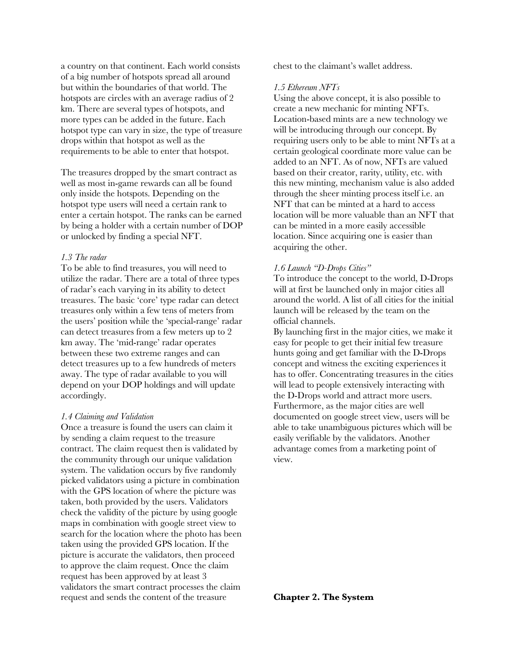a country on that continent. Each world consists of a big number of hotspots spread all around but within the boundaries of that world. The hotspots are circles with an average radius of 2 km. There are several types of hotspots, and more types can be added in the future. Each hotspot type can vary in size, the type of treasure drops within that hotspot as well as the requirements to be able to enter that hotspot.

The treasures dropped by the smart contract as well as most in-game rewards can all be found only inside the hotspots. Depending on the hotspot type users will need a certain rank to enter a certain hotspot. The ranks can be earned by being a holder with a certain number of DOP or unlocked by finding a special NFT.

#### *1.3 The radar*

To be able to find treasures, you will need to utilize the radar. There are a total of three types of radar's each varying in its ability to detect treasures. The basic 'core' type radar can detect treasures only within a few tens of meters from the users' position while the 'special-range' radar can detect treasures from a few meters up to 2 km away. The 'mid-range' radar operates between these two extreme ranges and can detect treasures up to a few hundreds of meters away. The type of radar available to you will depend on your DOP holdings and will update accordingly.

#### *1.4 Claiming and Validation*

Once a treasure is found the users can claim it by sending a claim request to the treasure contract. The claim request then is validated by the community through our unique validation system. The validation occurs by five randomly picked validators using a picture in combination with the GPS location of where the picture was taken, both provided by the users. Validators check the validity of the picture by using google maps in combination with google street view to search for the location where the photo has been taken using the provided GPS location. If the picture is accurate the validators, then proceed to approve the claim request. Once the claim request has been approved by at least 3 validators the smart contract processes the claim request and sends the content of the treasure

chest to the claimant's wallet address.

#### *1.5 Ethereum NFTs*

Using the above concept, it is also possible to create a new mechanic for minting NFTs. Location-based mints are a new technology we will be introducing through our concept. By requiring users only to be able to mint NFTs at a certain geological coordinate more value can be added to an NFT. As of now, NFTs are valued based on their creator, rarity, utility, etc. with this new minting, mechanism value is also added through the sheer minting process itself i.e. an NFT that can be minted at a hard to access location will be more valuable than an NFT that can be minted in a more easily accessible location. Since acquiring one is easier than acquiring the other.

#### *1.6 Launch "D-Drops Cities"*

To introduce the concept to the world, D-Drops will at first be launched only in major cities all around the world. A list of all cities for the initial launch will be released by the team on the official channels.

By launching first in the major cities, we make it easy for people to get their initial few treasure hunts going and get familiar with the D-Drops concept and witness the exciting experiences it has to offer. Concentrating treasures in the cities will lead to people extensively interacting with the D-Drops world and attract more users. Furthermore, as the major cities are well documented on google street view, users will be able to take unambiguous pictures which will be easily verifiable by the validators. Another advantage comes from a marketing point of view.

#### **Chapter 2. The System**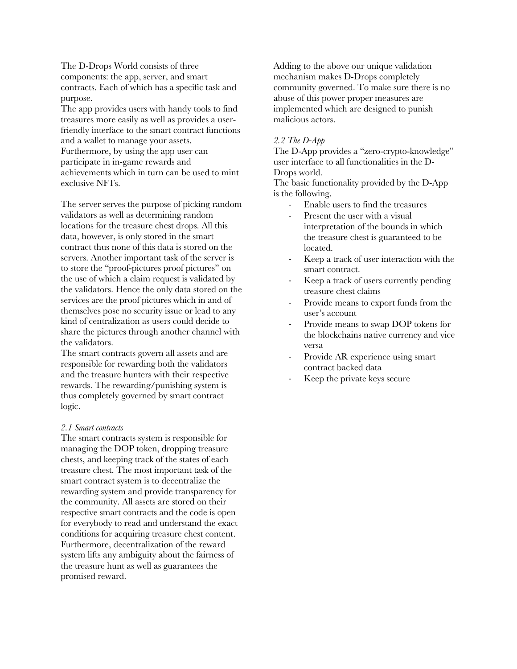The D-Drops World consists of three components: the app, server, and smart contracts. Each of which has a specific task and purpose.

The app provides users with handy tools to find treasures more easily as well as provides a userfriendly interface to the smart contract functions and a wallet to manage your assets. Furthermore, by using the app user can participate in in-game rewards and achievements which in turn can be used to mint exclusive NFTs.

The server serves the purpose of picking random validators as well as determining random locations for the treasure chest drops. All this data, however, is only stored in the smart contract thus none of this data is stored on the servers. Another important task of the server is to store the "proof-pictures proof pictures" on the use of which a claim request is validated by the validators. Hence the only data stored on the services are the proof pictures which in and of themselves pose no security issue or lead to any kind of centralization as users could decide to share the pictures through another channel with the validators.

The smart contracts govern all assets and are responsible for rewarding both the validators and the treasure hunters with their respective rewards. The rewarding/punishing system is thus completely governed by smart contract logic.

#### *2.1 Smart contracts*

The smart contracts system is responsible for managing the DOP token, dropping treasure chests, and keeping track of the states of each treasure chest. The most important task of the smart contract system is to decentralize the rewarding system and provide transparency for the community. All assets are stored on their respective smart contracts and the code is open for everybody to read and understand the exact conditions for acquiring treasure chest content. Furthermore, decentralization of the reward system lifts any ambiguity about the fairness of the treasure hunt as well as guarantees the promised reward.

Adding to the above our unique validation mechanism makes D-Drops completely community governed. To make sure there is no abuse of this power proper measures are implemented which are designed to punish malicious actors.

## *2.2 The D-App*

The D-App provides a "zero-crypto-knowledge" user interface to all functionalities in the D-Drops world.

The basic functionality provided by the D-App is the following.

- Enable users to find the treasures
- Present the user with a visual interpretation of the bounds in which the treasure chest is guaranteed to be located.
- Keep a track of user interaction with the smart contract.
- Keep a track of users currently pending treasure chest claims
- Provide means to export funds from the user's account
- Provide means to swap DOP tokens for the blockchains native currency and vice versa
- Provide AR experience using smart contract backed data
- Keep the private keys secure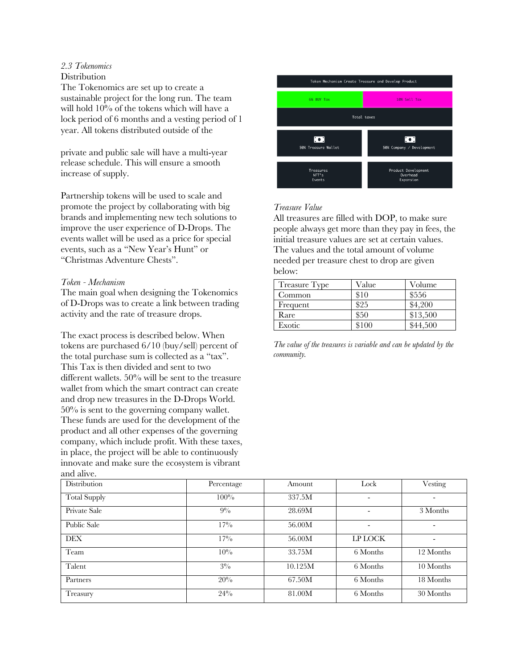## *2.3 Tokenomics*

## **Distribution**

The Tokenomics are set up to create a sustainable project for the long run. The team will hold 10% of the tokens which will have a lock period of 6 months and a vesting period of 1 year. All tokens distributed outside of the

private and public sale will have a multi-year release schedule. This will ensure a smooth increase of supply.

Partnership tokens will be used to scale and promote the project by collaborating with big brands and implementing new tech solutions to improve the user experience of D-Drops. The events wallet will be used as a price for special events, such as a "New Year's Hunt" or "Christmas Adventure Chests".

## *Token - Mechanism*

The main goal when designing the Tokenomics of D-Drops was to create a link between trading activity and the rate of treasure drops.

The exact process is described below. When tokens are purchased 6/10 (buy/sell) percent of the total purchase sum is collected as a "tax". This Tax is then divided and sent to two different wallets. 50% will be sent to the treasure wallet from which the smart contract can create and drop new treasures in the D-Drops World. 50% is sent to the governing company wallet. These funds are used for the development of the product and all other expenses of the governing company, which include profit. With these taxes, in place, the project will be able to continuously innovate and make sure the ecosystem is vibrant and alive.



## *Treasure Value*

All treasures are filled with DOP, to make sure people always get more than they pay in fees, the initial treasure values are set at certain values. The values and the total amount of volume needed per treasure chest to drop are given below:

| Treasure Type | Value | Volume   |
|---------------|-------|----------|
| Common        | \$10  | \$556    |
| Frequent      | \$25  | \$4,200  |
| Rare          | \$50  | \$13,500 |
| Exotic        | \$100 | \$44,500 |

*The value of the treasures is variable and can be updated by the community.*

| Distribution        | Percentage | Amount  | Lock                     | Vesting   |
|---------------------|------------|---------|--------------------------|-----------|
| <b>Total Supply</b> | 100%       | 337.5M  | $\overline{\phantom{a}}$ |           |
| Private Sale        | $9\%$      | 28.69M  | $\overline{\phantom{a}}$ | 3 Months  |
| Public Sale         | $17\%$     | 56.00M  |                          |           |
| <b>DEX</b>          | $17\%$     | 56.00M  | LP LOCK                  |           |
| Team                | 10%        | 33.75M  | 6 Months                 | 12 Months |
| Talent              | $3\%$      | 10.125M | 6 Months                 | 10 Months |
| Partners            | 20%        | 67.50M  | 6 Months                 | 18 Months |
| Treasury            | 24%        | 81.00M  | 6 Months                 | 30 Months |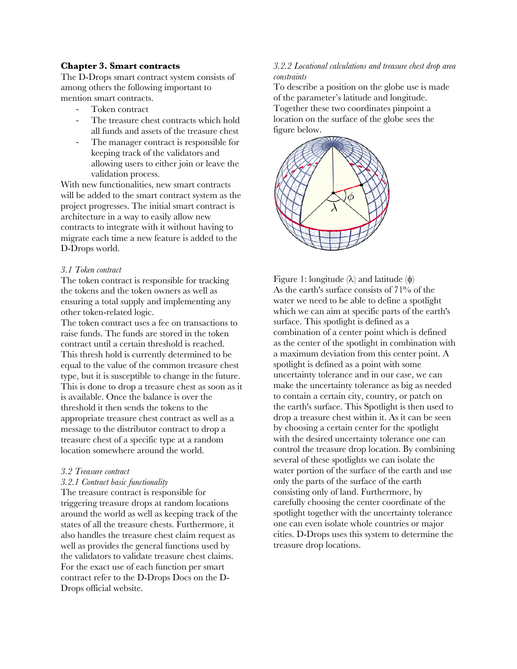## **Chapter 3. Smart contracts**

The D-Drops smart contract system consists of among others the following important to mention smart contracts.

- Token contract
- The treasure chest contracts which hold all funds and assets of the treasure chest
- The manager contract is responsible for keeping track of the validators and allowing users to either join or leave the validation process.

With new functionalities, new smart contracts will be added to the smart contract system as the project progresses. The initial smart contract is architecture in a way to easily allow new contracts to integrate with it without having to migrate each time a new feature is added to the D-Drops world.

#### *3.1 Token contract*

The token contract is responsible for tracking the tokens and the token owners as well as ensuring a total supply and implementing any other token-related logic.

The token contract uses a fee on transactions to raise funds. The funds are stored in the token contract until a certain threshold is reached. This thresh hold is currently determined to be equal to the value of the common treasure chest type, but it is susceptible to change in the future. This is done to drop a treasure chest as soon as it is available. Once the balance is over the threshold it then sends the tokens to the appropriate treasure chest contract as well as a message to the distributor contract to drop a treasure chest of a specific type at a random location somewhere around the world.

#### *3.2 Treasure contract*

#### *3.2.1 Contract basic functionality*

The treasure contract is responsible for triggering treasure drops at random locations around the world as well as keeping track of the states of all the treasure chests. Furthermore, it also handles the treasure chest claim request as well as provides the general functions used by the validators to validate treasure chest claims. For the exact use of each function per smart contract refer to the D-Drops Docs on the D-Drops official website.

## *3.2.2 Locational calculations and treasure chest drop area constraints*

To describe a position on the globe use is made of the parameter's latitude and longitude. Together these two coordinates pinpoint a location on the surface of the globe sees the figure below.



Figure 1: longitude  $(\lambda)$  and latitude  $(\phi)$ As the earth's surface consists of  $71\%$  of the water we need to be able to define a spotlight which we can aim at specific parts of the earth's surface. This spotlight is defined as a combination of a center point which is defined as the center of the spotlight in combination with a maximum deviation from this center point. A spotlight is defined as a point with some uncertainty tolerance and in our case, we can make the uncertainty tolerance as big as needed to contain a certain city, country, or patch on the earth's surface. This Spotlight is then used to drop a treasure chest within it. As it can be seen by choosing a certain center for the spotlight with the desired uncertainty tolerance one can control the treasure drop location. By combining several of these spotlights we can isolate the water portion of the surface of the earth and use only the parts of the surface of the earth consisting only of land. Furthermore, by carefully choosing the center coordinate of the spotlight together with the uncertainty tolerance one can even isolate whole countries or major cities. D-Drops uses this system to determine the treasure drop locations.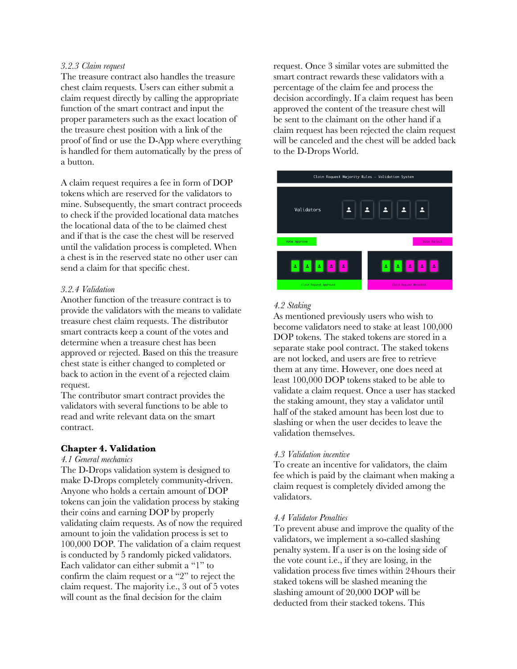## *3.2.3 Claim request*

The treasure contract also handles the treasure chest claim requests. Users can either submit a claim request directly by calling the appropriate function of the smart contract and input the proper parameters such as the exact location of the treasure chest position with a link of the proof of find or use the D-App where everything is handled for them automatically by the press of a button.

A claim request requires a fee in form of DOP tokens which are reserved for the validators to mine. Subsequently, the smart contract proceeds to check if the provided locational data matches the locational data of the to be claimed chest and if that is the case the chest will be reserved until the validation process is completed. When a chest is in the reserved state no other user can send a claim for that specific chest.

## *3.2.4 Validation*

Another function of the treasure contract is to provide the validators with the means to validate treasure chest claim requests. The distributor smart contracts keep a count of the votes and determine when a treasure chest has been approved or rejected. Based on this the treasure chest state is either changed to completed or back to action in the event of a rejected claim request.

The contributor smart contract provides the validators with several functions to be able to read and write relevant data on the smart contract.

## **Chapter 4. Validation**

## *4.1 General mechanics*

The D-Drops validation system is designed to make D-Drops completely community-driven. Anyone who holds a certain amount of DOP tokens can join the validation process by staking their coins and earning DOP by properly validating claim requests. As of now the required amount to join the validation process is set to 100,000 DOP. The validation of a claim request is conducted by 5 randomly picked validators. Each validator can either submit a "1" to confirm the claim request or a "2" to reject the claim request. The majority i.e., 3 out of 5 votes will count as the final decision for the claim

request. Once 3 similar votes are submitted the smart contract rewards these validators with a percentage of the claim fee and process the decision accordingly. If a claim request has been approved the content of the treasure chest will be sent to the claimant on the other hand if a claim request has been rejected the claim request will be canceled and the chest will be added back to the D-Drops World.



## *4.2 Staking*

As mentioned previously users who wish to become validators need to stake at least 100,000 DOP tokens. The staked tokens are stored in a separate stake pool contract. The staked tokens are not locked, and users are free to retrieve them at any time. However, one does need at least 100,000 DOP tokens staked to be able to validate a claim request. Once a user has stacked the staking amount, they stay a validator until half of the staked amount has been lost due to slashing or when the user decides to leave the validation themselves.

## *4.3 Validation incentive*

To create an incentive for validators, the claim fee which is paid by the claimant when making a claim request is completely divided among the validators.

## *4.4 Validator Penalties*

To prevent abuse and improve the quality of the validators, we implement a so-called slashing penalty system. If a user is on the losing side of the vote count i.e., if they are losing, in the validation process five times within 24hours their staked tokens will be slashed meaning the slashing amount of 20,000 DOP will be deducted from their stacked tokens. This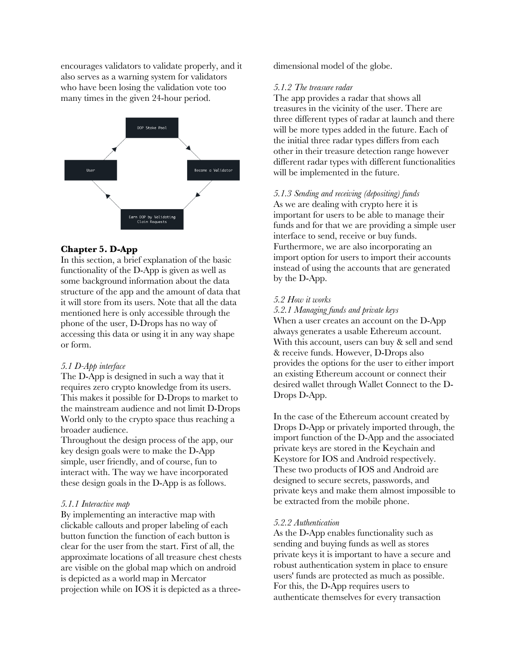encourages validators to validate properly, and it also serves as a warning system for validators who have been losing the validation vote too many times in the given 24-hour period.



## **Chapter 5. D-App**

In this section, a brief explanation of the basic functionality of the D-App is given as well as some background information about the data structure of the app and the amount of data that it will store from its users. Note that all the data mentioned here is only accessible through the phone of the user, D-Drops has no way of accessing this data or using it in any way shape or form.

#### *5.1 D-App interface*

The D-App is designed in such a way that it requires zero crypto knowledge from its users. This makes it possible for D-Drops to market to the mainstream audience and not limit D-Drops World only to the crypto space thus reaching a broader audience.

Throughout the design process of the app, our key design goals were to make the D-App simple, user friendly, and of course, fun to interact with. The way we have incorporated these design goals in the D-App is as follows.

#### *5.1.1 Interactive map*

By implementing an interactive map with clickable callouts and proper labeling of each button function the function of each button is clear for the user from the start. First of all, the approximate locations of all treasure chest chests are visible on the global map which on android is depicted as a world map in Mercator projection while on IOS it is depicted as a threedimensional model of the globe.

#### *5.1.2 The treasure radar*

The app provides a radar that shows all treasures in the vicinity of the user. There are three different types of radar at launch and there will be more types added in the future. Each of the initial three radar types differs from each other in their treasure detection range however different radar types with different functionalities will be implemented in the future.

#### *5.1.3 Sending and receiving (depositing) funds*

As we are dealing with crypto here it is important for users to be able to manage their funds and for that we are providing a simple user interface to send, receive or buy funds. Furthermore, we are also incorporating an import option for users to import their accounts instead of using the accounts that are generated by the D-App.

## *5.2 How it works*

*5.2.1 Managing funds and private keys*

When a user creates an account on the D-App always generates a usable Ethereum account. With this account, users can buy & sell and send & receive funds. However, D-Drops also provides the options for the user to either import an existing Ethereum account or connect their desired wallet through Wallet Connect to the D-Drops D-App.

In the case of the Ethereum account created by Drops D-App or privately imported through, the import function of the D-App and the associated private keys are stored in the Keychain and Keystore for IOS and Android respectively. These two products of IOS and Android are designed to secure secrets, passwords, and private keys and make them almost impossible to be extracted from the mobile phone.

#### *5.2.2 Authentication*

As the D-App enables functionality such as sending and buying funds as well as stores private keys it is important to have a secure and robust authentication system in place to ensure users' funds are protected as much as possible. For this, the D-App requires users to authenticate themselves for every transaction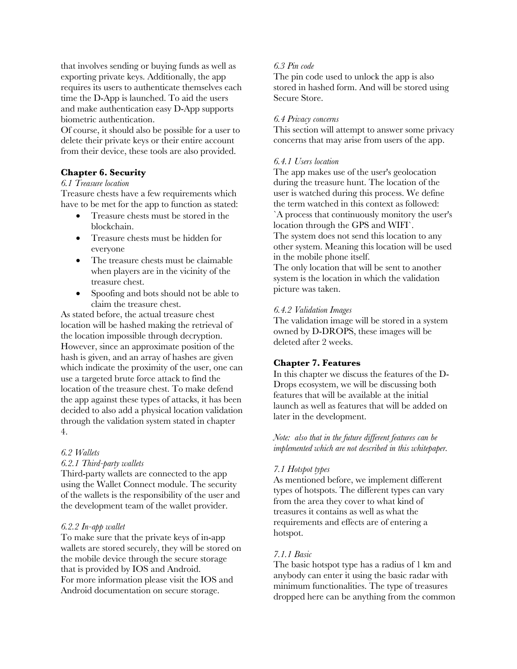that involves sending or buying funds as well as exporting private keys. Additionally, the app requires its users to authenticate themselves each time the D-App is launched. To aid the users and make authentication easy D-App supports biometric authentication.

Of course, it should also be possible for a user to delete their private keys or their entire account from their device, these tools are also provided.

## **Chapter 6. Security**

## *6.1 Treasure location*

Treasure chests have a few requirements which have to be met for the app to function as stated:

- Treasure chests must be stored in the blockchain.
- Treasure chests must be hidden for everyone
- The treasure chests must be claimable when players are in the vicinity of the treasure chest.
- Spoofing and bots should not be able to claim the treasure chest.

As stated before, the actual treasure chest location will be hashed making the retrieval of the location impossible through decryption. However, since an approximate position of the hash is given, and an array of hashes are given which indicate the proximity of the user, one can use a targeted brute force attack to find the location of the treasure chest. To make defend the app against these types of attacks, it has been decided to also add a physical location validation through the validation system stated in chapter 4.

## *6.2 Wallets*

## *6.2.1 Third-party wallets*

Third-party wallets are connected to the app using the Wallet Connect module. The security of the wallets is the responsibility of the user and the development team of the wallet provider.

## *6.2.2 In-app wallet*

To make sure that the private keys of in-app wallets are stored securely, they will be stored on the mobile device through the secure storage that is provided by IOS and Android. For more information please visit the IOS and Android documentation on secure storage.

## *6.3 Pin code*

The pin code used to unlock the app is also stored in hashed form. And will be stored using Secure Store.

## *6.4 Privacy concerns*

This section will attempt to answer some privacy concerns that may arise from users of the app.

## *6.4.1 Users location*

The app makes use of the user's geolocation during the treasure hunt. The location of the user is watched during this process. We define the term watched in this context as followed: `A process that continuously monitory the user's location through the GPS and WIFI`. The system does not send this location to any other system. Meaning this location will be used in the mobile phone itself. The only location that will be sent to another

system is the location in which the validation picture was taken.

## *6.4.2 Validation Images*

The validation image will be stored in a system owned by D-DROPS, these images will be deleted after 2 weeks.

## **Chapter 7. Features**

In this chapter we discuss the features of the D-Drops ecosystem, we will be discussing both features that will be available at the initial launch as well as features that will be added on later in the development.

*Note: also that in the future different features can be implemented which are not described in this whitepaper.*

## *7.1 Hotspot types*

As mentioned before, we implement different types of hotspots. The different types can vary from the area they cover to what kind of treasures it contains as well as what the requirements and effects are of entering a hotspot.

## *7.1.1 Basic*

The basic hotspot type has a radius of 1 km and anybody can enter it using the basic radar with minimum functionalities. The type of treasures dropped here can be anything from the common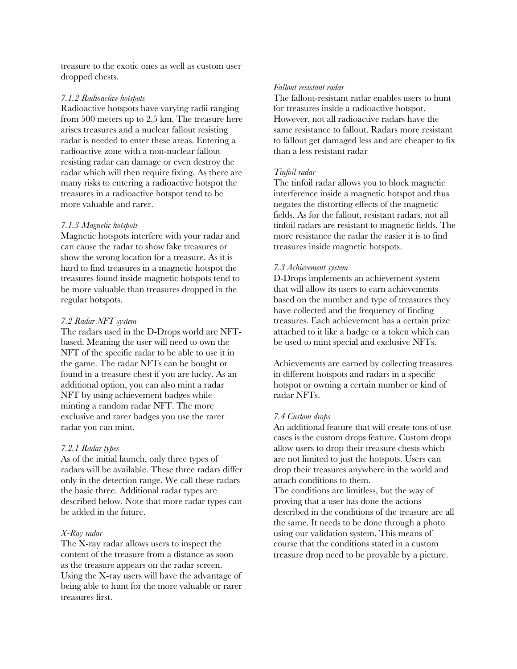treasure to the exotic ones as well as custom user dropped chests.

## *7.1.2 Radioactive hotspots*

Radioactive hotspots have varying radii ranging from 500 meters up to 2,5 km. The treasure here arises treasures and a nuclear fallout resisting radar is needed to enter these areas. Entering a radioactive zone with a non-nuclear fallout resisting radar can damage or even destroy the radar which will then require fixing. As there are many risks to entering a radioactive hotspot the treasures in a radioactive hotspot tend to be more valuable and rarer.

## *7.1.3 Magnetic hotspots*

Magnetic hotspots interfere with your radar and can cause the radar to show fake treasures or show the wrong location for a treasure. As it is hard to find treasures in a magnetic hotspot the treasures found inside magnetic hotspots tend to be more valuable than treasures dropped in the regular hotspots.

## *7.2 Radar NFT system*

The radars used in the D-Drops world are NFTbased. Meaning the user will need to own the NFT of the specific radar to be able to use it in the game. The radar NFTs can be bought or found in a treasure chest if you are lucky. As an additional option, you can also mint a radar NFT by using achievement badges while minting a random radar NFT. The more exclusive and rarer badges you use the rarer radar you can mint.

## *7.2.1 Radar types*

As of the initial launch, only three types of radars will be available. These three radars differ only in the detection range. We call these radars the basic three. Additional radar types are described below. Note that more radar types can be added in the future.

## *X-Ray radar*

The X-ray radar allows users to inspect the content of the treasure from a distance as soon as the treasure appears on the radar screen. Using the X-ray users will have the advantage of being able to hunt for the more valuable or rarer treasures first.

## *Fallout resistant radar*

The fallout-resistant radar enables users to hunt for treasures inside a radioactive hotspot. However, not all radioactive radars have the same resistance to fallout. Radars more resistant to fallout get damaged less and are cheaper to fix than a less resistant radar

## *Tinfoil radar*

The tinfoil radar allows you to block magnetic interference inside a magnetic hotspot and thus negates the distorting effects of the magnetic fields. As for the fallout, resistant radars, not all tinfoil radars are resistant to magnetic fields. The more resistance the radar the easier it is to find treasures inside magnetic hotspots.

## *7.3 Achievement system*

D-Drops implements an achievement system that will allow its users to earn achievements based on the number and type of treasures they have collected and the frequency of finding treasures. Each achievement has a certain prize attached to it like a badge or a token which can be used to mint special and exclusive NFTs.

Achievements are earned by collecting treasures in different hotspots and radars in a specific hotspot or owning a certain number or kind of radar NFTs.

## *7.4 Custom drops*

An additional feature that will create tons of use cases is the custom drops feature. Custom drops allow users to drop their treasure chests which are not limited to just the hotspots. Users can drop their treasures anywhere in the world and attach conditions to them.

The conditions are limitless, but the way of proving that a user has done the actions described in the conditions of the treasure are all the same. It needs to be done through a photo using our validation system. This means of course that the conditions stated in a custom treasure drop need to be provable by a picture.